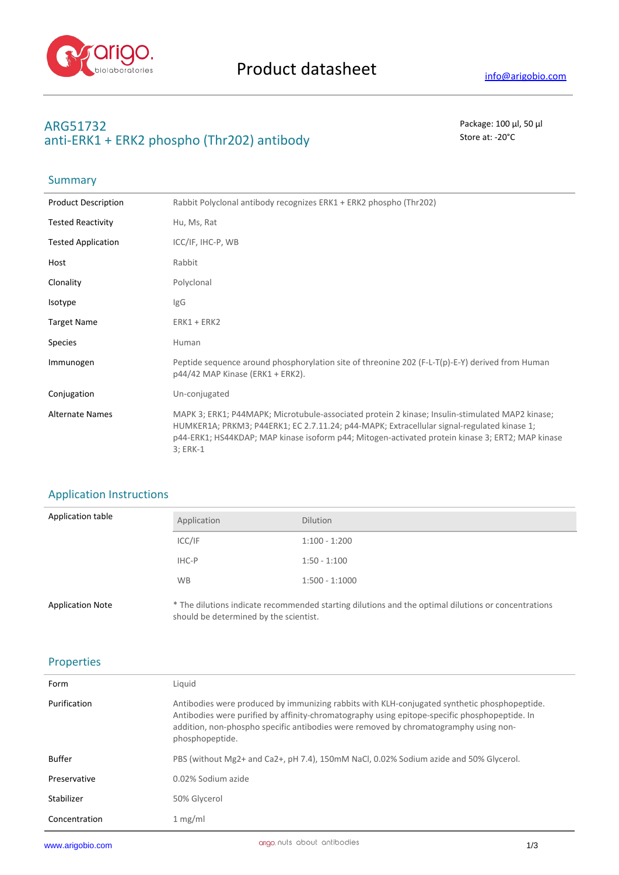

# **ARG51732** Package: 100 μl, 50 μl anti-ERK1 + ERK2 phospho (Thr202) antibody store at: -20<sup>°</sup>C

## Summary

| <b>Product Description</b> | Rabbit Polyclonal antibody recognizes ERK1 + ERK2 phospho (Thr202)                                                                                                                                                                                                                                            |
|----------------------------|---------------------------------------------------------------------------------------------------------------------------------------------------------------------------------------------------------------------------------------------------------------------------------------------------------------|
| <b>Tested Reactivity</b>   | Hu, Ms, Rat                                                                                                                                                                                                                                                                                                   |
| <b>Tested Application</b>  | ICC/IF, IHC-P, WB                                                                                                                                                                                                                                                                                             |
| Host                       | Rabbit                                                                                                                                                                                                                                                                                                        |
| Clonality                  | Polyclonal                                                                                                                                                                                                                                                                                                    |
| Isotype                    | IgG                                                                                                                                                                                                                                                                                                           |
| <b>Target Name</b>         | $ERK1 + ERK2$                                                                                                                                                                                                                                                                                                 |
| Species                    | Human                                                                                                                                                                                                                                                                                                         |
| Immunogen                  | Peptide sequence around phosphorylation site of threonine 202 (F-L-T(p)-E-Y) derived from Human<br>$p44/42$ MAP Kinase (ERK1 + ERK2).                                                                                                                                                                         |
| Conjugation                | Un-conjugated                                                                                                                                                                                                                                                                                                 |
| <b>Alternate Names</b>     | MAPK 3; ERK1; P44MAPK; Microtubule-associated protein 2 kinase; Insulin-stimulated MAP2 kinase;<br>HUMKER1A; PRKM3; P44ERK1; EC 2.7.11.24; p44-MAPK; Extracellular signal-regulated kinase 1;<br>p44-ERK1; HS44KDAP; MAP kinase isoform p44; Mitogen-activated protein kinase 3; ERT2; MAP kinase<br>3; ERK-1 |

## Application Instructions

| Application table       | Application                            | <b>Dilution</b>                                                                                     |
|-------------------------|----------------------------------------|-----------------------------------------------------------------------------------------------------|
|                         | ICC/IF                                 | $1:100 - 1:200$                                                                                     |
|                         | IHC-P                                  | $1:50 - 1:100$                                                                                      |
|                         | <b>WB</b>                              | $1:500 - 1:1000$                                                                                    |
| <b>Application Note</b> | should be determined by the scientist. | * The dilutions indicate recommended starting dilutions and the optimal dilutions or concentrations |

## Properties

| Form          | Liquid                                                                                                                                                                                                                                                                                                   |
|---------------|----------------------------------------------------------------------------------------------------------------------------------------------------------------------------------------------------------------------------------------------------------------------------------------------------------|
| Purification  | Antibodies were produced by immunizing rabbits with KLH-conjugated synthetic phosphopeptide.<br>Antibodies were purified by affinity-chromatography using epitope-specific phosphopeptide. In<br>addition, non-phospho specific antibodies were removed by chromatogramphy using non-<br>phosphopeptide. |
| Buffer        | PBS (without Mg2+ and Ca2+, pH 7.4), 150mM NaCl, 0.02% Sodium azide and 50% Glycerol.                                                                                                                                                                                                                    |
| Preservative  | 0.02% Sodium azide                                                                                                                                                                                                                                                                                       |
| Stabilizer    | 50% Glycerol                                                                                                                                                                                                                                                                                             |
| Concentration | 1 mg/ml                                                                                                                                                                                                                                                                                                  |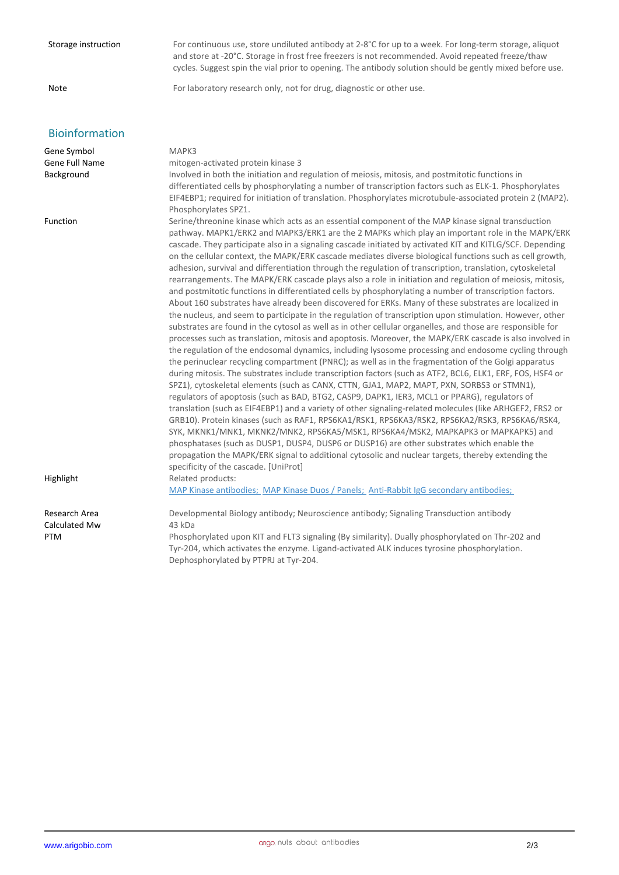| Storage instruction  | For continuous use, store undiluted antibody at 2-8°C for up to a week. For long-term storage, aliquot<br>and store at -20°C. Storage in frost free freezers is not recommended. Avoid repeated freeze/thaw<br>cycles. Suggest spin the vial prior to opening. The antibody solution should be gently mixed before use.                                                                                                                                                                                                                                                                                                                                                                                                                                                                                                                                                                                                                                                                                                                                                                                                                                                                                                                                                                                                                                                                                                                                                                                                                                                                                                                                                                                                                                                                                                                                                                                                                                                                                                                                                                                                                                                                                                                                                                        |
|----------------------|------------------------------------------------------------------------------------------------------------------------------------------------------------------------------------------------------------------------------------------------------------------------------------------------------------------------------------------------------------------------------------------------------------------------------------------------------------------------------------------------------------------------------------------------------------------------------------------------------------------------------------------------------------------------------------------------------------------------------------------------------------------------------------------------------------------------------------------------------------------------------------------------------------------------------------------------------------------------------------------------------------------------------------------------------------------------------------------------------------------------------------------------------------------------------------------------------------------------------------------------------------------------------------------------------------------------------------------------------------------------------------------------------------------------------------------------------------------------------------------------------------------------------------------------------------------------------------------------------------------------------------------------------------------------------------------------------------------------------------------------------------------------------------------------------------------------------------------------------------------------------------------------------------------------------------------------------------------------------------------------------------------------------------------------------------------------------------------------------------------------------------------------------------------------------------------------------------------------------------------------------------------------------------------------|
| <b>Note</b>          | For laboratory research only, not for drug, diagnostic or other use.                                                                                                                                                                                                                                                                                                                                                                                                                                                                                                                                                                                                                                                                                                                                                                                                                                                                                                                                                                                                                                                                                                                                                                                                                                                                                                                                                                                                                                                                                                                                                                                                                                                                                                                                                                                                                                                                                                                                                                                                                                                                                                                                                                                                                           |
| Bioinformation       |                                                                                                                                                                                                                                                                                                                                                                                                                                                                                                                                                                                                                                                                                                                                                                                                                                                                                                                                                                                                                                                                                                                                                                                                                                                                                                                                                                                                                                                                                                                                                                                                                                                                                                                                                                                                                                                                                                                                                                                                                                                                                                                                                                                                                                                                                                |
| Gene Symbol          | MAPK3                                                                                                                                                                                                                                                                                                                                                                                                                                                                                                                                                                                                                                                                                                                                                                                                                                                                                                                                                                                                                                                                                                                                                                                                                                                                                                                                                                                                                                                                                                                                                                                                                                                                                                                                                                                                                                                                                                                                                                                                                                                                                                                                                                                                                                                                                          |
| Gene Full Name       | mitogen-activated protein kinase 3                                                                                                                                                                                                                                                                                                                                                                                                                                                                                                                                                                                                                                                                                                                                                                                                                                                                                                                                                                                                                                                                                                                                                                                                                                                                                                                                                                                                                                                                                                                                                                                                                                                                                                                                                                                                                                                                                                                                                                                                                                                                                                                                                                                                                                                             |
| Background           | Involved in both the initiation and regulation of meiosis, mitosis, and postmitotic functions in<br>differentiated cells by phosphorylating a number of transcription factors such as ELK-1. Phosphorylates<br>EIF4EBP1; required for initiation of translation. Phosphorylates microtubule-associated protein 2 (MAP2).<br>Phosphorylates SPZ1.                                                                                                                                                                                                                                                                                                                                                                                                                                                                                                                                                                                                                                                                                                                                                                                                                                                                                                                                                                                                                                                                                                                                                                                                                                                                                                                                                                                                                                                                                                                                                                                                                                                                                                                                                                                                                                                                                                                                               |
| Function             | Serine/threonine kinase which acts as an essential component of the MAP kinase signal transduction<br>pathway. MAPK1/ERK2 and MAPK3/ERK1 are the 2 MAPKs which play an important role in the MAPK/ERK<br>cascade. They participate also in a signaling cascade initiated by activated KIT and KITLG/SCF. Depending<br>on the cellular context, the MAPK/ERK cascade mediates diverse biological functions such as cell growth,<br>adhesion, survival and differentiation through the regulation of transcription, translation, cytoskeletal<br>rearrangements. The MAPK/ERK cascade plays also a role in initiation and regulation of meiosis, mitosis,<br>and postmitotic functions in differentiated cells by phosphorylating a number of transcription factors.<br>About 160 substrates have already been discovered for ERKs. Many of these substrates are localized in<br>the nucleus, and seem to participate in the regulation of transcription upon stimulation. However, other<br>substrates are found in the cytosol as well as in other cellular organelles, and those are responsible for<br>processes such as translation, mitosis and apoptosis. Moreover, the MAPK/ERK cascade is also involved in<br>the regulation of the endosomal dynamics, including lysosome processing and endosome cycling through<br>the perinuclear recycling compartment (PNRC); as well as in the fragmentation of the Golgi apparatus<br>during mitosis. The substrates include transcription factors (such as ATF2, BCL6, ELK1, ERF, FOS, HSF4 or<br>SPZ1), cytoskeletal elements (such as CANX, CTTN, GJA1, MAP2, MAPT, PXN, SORBS3 or STMN1),<br>regulators of apoptosis (such as BAD, BTG2, CASP9, DAPK1, IER3, MCL1 or PPARG), regulators of<br>translation (such as EIF4EBP1) and a variety of other signaling-related molecules (like ARHGEF2, FRS2 or<br>GRB10). Protein kinases (such as RAF1, RPS6KA1/RSK1, RPS6KA3/RSK2, RPS6KA2/RSK3, RPS6KA6/RSK4,<br>SYK, MKNK1/MNK1, MKNK2/MNK2, RPS6KA5/MSK1, RPS6KA4/MSK2, MAPKAPK3 or MAPKAPK5) and<br>phosphatases (such as DUSP1, DUSP4, DUSP6 or DUSP16) are other substrates which enable the<br>propagation the MAPK/ERK signal to additional cytosolic and nuclear targets, thereby extending the<br>specificity of the cascade. [UniProt] |
| Highlight            | Related products:<br>MAP Kinase antibodies; MAP Kinase Duos / Panels; Anti-Rabbit IgG secondary antibodies;                                                                                                                                                                                                                                                                                                                                                                                                                                                                                                                                                                                                                                                                                                                                                                                                                                                                                                                                                                                                                                                                                                                                                                                                                                                                                                                                                                                                                                                                                                                                                                                                                                                                                                                                                                                                                                                                                                                                                                                                                                                                                                                                                                                    |
|                      |                                                                                                                                                                                                                                                                                                                                                                                                                                                                                                                                                                                                                                                                                                                                                                                                                                                                                                                                                                                                                                                                                                                                                                                                                                                                                                                                                                                                                                                                                                                                                                                                                                                                                                                                                                                                                                                                                                                                                                                                                                                                                                                                                                                                                                                                                                |
| Research Area        | Developmental Biology antibody; Neuroscience antibody; Signaling Transduction antibody                                                                                                                                                                                                                                                                                                                                                                                                                                                                                                                                                                                                                                                                                                                                                                                                                                                                                                                                                                                                                                                                                                                                                                                                                                                                                                                                                                                                                                                                                                                                                                                                                                                                                                                                                                                                                                                                                                                                                                                                                                                                                                                                                                                                         |
| Calculated Mw<br>PTM | 43 kDa<br>Phosphorylated upon KIT and FLT3 signaling (By similarity). Dually phosphorylated on Thr-202 and<br>Tyr-204, which activates the enzyme. Ligand-activated ALK induces tyrosine phosphorylation.<br>Dephosphorylated by PTPRJ at Tyr-204.                                                                                                                                                                                                                                                                                                                                                                                                                                                                                                                                                                                                                                                                                                                                                                                                                                                                                                                                                                                                                                                                                                                                                                                                                                                                                                                                                                                                                                                                                                                                                                                                                                                                                                                                                                                                                                                                                                                                                                                                                                             |